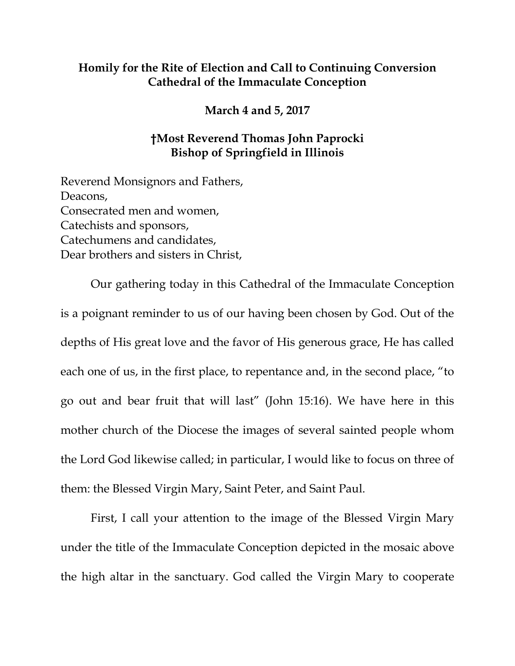## **Homily for the Rite of Election and Call to Continuing Conversion Cathedral of the Immaculate Conception**

**March 4 and 5, 2017**

## **†Most Reverend Thomas John Paprocki Bishop of Springfield in Illinois**

Reverend Monsignors and Fathers, Deacons, Consecrated men and women, Catechists and sponsors, Catechumens and candidates, Dear brothers and sisters in Christ,

Our gathering today in this Cathedral of the Immaculate Conception is a poignant reminder to us of our having been chosen by God. Out of the depths of His great love and the favor of His generous grace, He has called each one of us, in the first place, to repentance and, in the second place, "to go out and bear fruit that will last" (John 15:16). We have here in this mother church of the Diocese the images of several sainted people whom the Lord God likewise called; in particular, I would like to focus on three of them: the Blessed Virgin Mary, Saint Peter, and Saint Paul.

First, I call your attention to the image of the Blessed Virgin Mary under the title of the Immaculate Conception depicted in the mosaic above the high altar in the sanctuary. God called the Virgin Mary to cooperate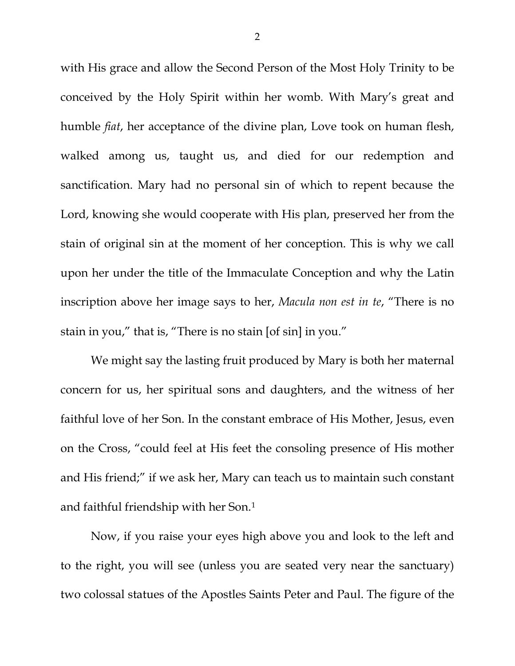with His grace and allow the Second Person of the Most Holy Trinity to be conceived by the Holy Spirit within her womb. With Mary's great and humble *fiat*, her acceptance of the divine plan, Love took on human flesh, walked among us, taught us, and died for our redemption and sanctification. Mary had no personal sin of which to repent because the Lord, knowing she would cooperate with His plan, preserved her from the stain of original sin at the moment of her conception. This is why we call upon her under the title of the Immaculate Conception and why the Latin inscription above her image says to her, *Macula non est in te*, "There is no stain in you," that is, "There is no stain [of sin] in you."

We might say the lasting fruit produced by Mary is both her maternal concern for us, her spiritual sons and daughters, and the witness of her faithful love of her Son. In the constant embrace of His Mother, Jesus, even on the Cross, "could feel at His feet the consoling presence of His mother and His friend;" if we ask her, Mary can teach us to maintain such constant and faithful friendship with her Son.[1](#page-6-0)

Now, if you raise your eyes high above you and look to the left and to the right, you will see (unless you are seated very near the sanctuary) two colossal statues of the Apostles Saints Peter and Paul. The figure of the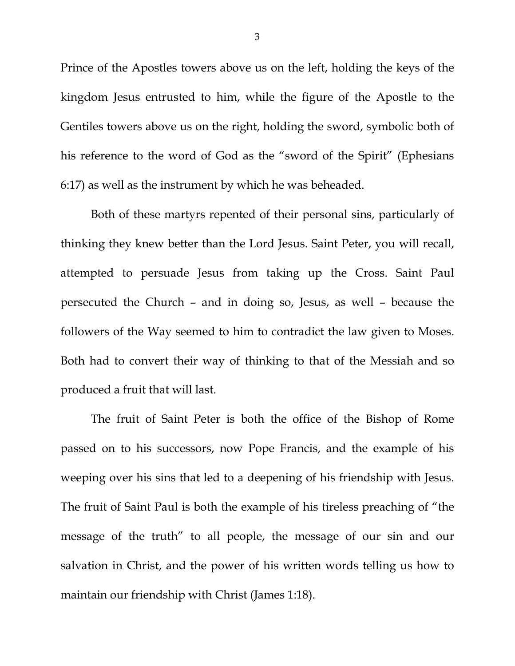Prince of the Apostles towers above us on the left, holding the keys of the kingdom Jesus entrusted to him, while the figure of the Apostle to the Gentiles towers above us on the right, holding the sword, symbolic both of his reference to the word of God as the "sword of the Spirit" (Ephesians 6:17) as well as the instrument by which he was beheaded.

Both of these martyrs repented of their personal sins, particularly of thinking they knew better than the Lord Jesus. Saint Peter, you will recall, attempted to persuade Jesus from taking up the Cross. Saint Paul persecuted the Church – and in doing so, Jesus, as well – because the followers of the Way seemed to him to contradict the law given to Moses. Both had to convert their way of thinking to that of the Messiah and so produced a fruit that will last.

The fruit of Saint Peter is both the office of the Bishop of Rome passed on to his successors, now Pope Francis, and the example of his weeping over his sins that led to a deepening of his friendship with Jesus. The fruit of Saint Paul is both the example of his tireless preaching of "the message of the truth" to all people, the message of our sin and our salvation in Christ, and the power of his written words telling us how to maintain our friendship with Christ (James 1:18).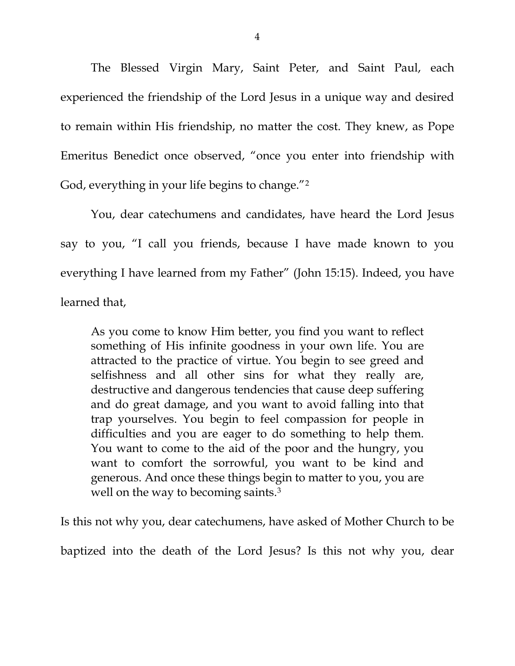The Blessed Virgin Mary, Saint Peter, and Saint Paul, each experienced the friendship of the Lord Jesus in a unique way and desired to remain within His friendship, no matter the cost. They knew, as Pope Emeritus Benedict once observed, "once you enter into friendship with God, everything in your life begins to change."[2](#page-6-1)

You, dear catechumens and candidates, have heard the Lord Jesus say to you, "I call you friends, because I have made known to you everything I have learned from my Father" (John 15:15). Indeed, you have learned that,

As you come to know Him better, you find you want to reflect something of His infinite goodness in your own life. You are attracted to the practice of virtue. You begin to see greed and selfishness and all other sins for what they really are, destructive and dangerous tendencies that cause deep suffering and do great damage, and you want to avoid falling into that trap yourselves. You begin to feel compassion for people in difficulties and you are eager to do something to help them. You want to come to the aid of the poor and the hungry, you want to comfort the sorrowful, you want to be kind and generous. And once these things begin to matter to you, you are well on the way to becoming saints.<sup>[3](#page-6-2)</sup>

Is this not why you, dear catechumens, have asked of Mother Church to be

baptized into the death of the Lord Jesus? Is this not why you, dear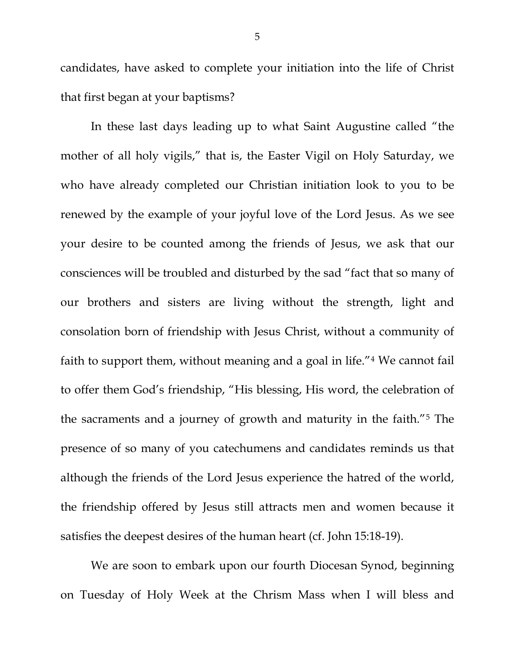candidates, have asked to complete your initiation into the life of Christ that first began at your baptisms?

In these last days leading up to what Saint Augustine called "the mother of all holy vigils," that is, the Easter Vigil on Holy Saturday, we who have already completed our Christian initiation look to you to be renewed by the example of your joyful love of the Lord Jesus. As we see your desire to be counted among the friends of Jesus, we ask that our consciences will be troubled and disturbed by the sad "fact that so many of our brothers and sisters are living without the strength, light and consolation born of friendship with Jesus Christ, without a community of faith to support them, without meaning and a goal in life."[4](#page-6-3) We cannot fail to offer them God's friendship, "His blessing, His word, the celebration of the sacraments and a journey of growth and maturity in the faith."[5](#page-6-4) The presence of so many of you catechumens and candidates reminds us that although the friends of the Lord Jesus experience the hatred of the world, the friendship offered by Jesus still attracts men and women because it satisfies the deepest desires of the human heart (cf. John 15:18-19).

We are soon to embark upon our fourth Diocesan Synod, beginning on Tuesday of Holy Week at the Chrism Mass when I will bless and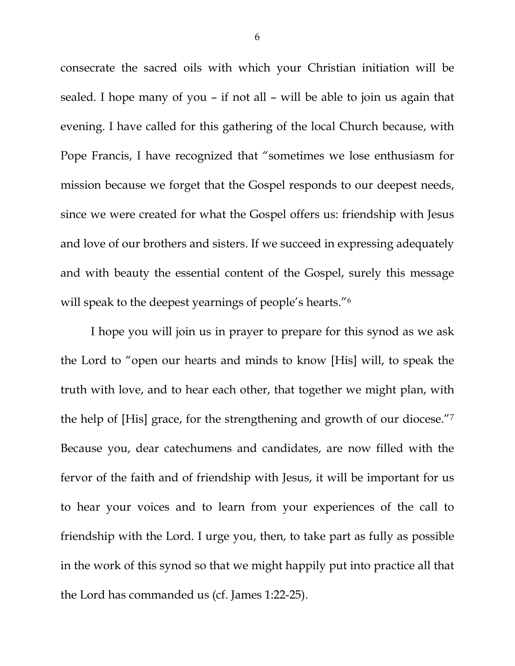consecrate the sacred oils with which your Christian initiation will be sealed. I hope many of you – if not all – will be able to join us again that evening. I have called for this gathering of the local Church because, with Pope Francis, I have recognized that "sometimes we lose enthusiasm for mission because we forget that the Gospel responds to our deepest needs, since we were created for what the Gospel offers us: friendship with Jesus and love of our brothers and sisters. If we succeed in expressing adequately and with beauty the essential content of the Gospel, surely this message will speak to the deepest yearnings of people's hearts."<sup>[6](#page-6-5)</sup>

I hope you will join us in prayer to prepare for this synod as we ask the Lord to "open our hearts and minds to know [His] will, to speak the truth with love, and to hear each other, that together we might plan, with the help of [His] grace, for the strengthening and growth of our diocese.["7](#page-6-6) Because you, dear catechumens and candidates, are now filled with the fervor of the faith and of friendship with Jesus, it will be important for us to hear your voices and to learn from your experiences of the call to friendship with the Lord. I urge you, then, to take part as fully as possible in the work of this synod so that we might happily put into practice all that the Lord has commanded us (cf. James 1:22-25).